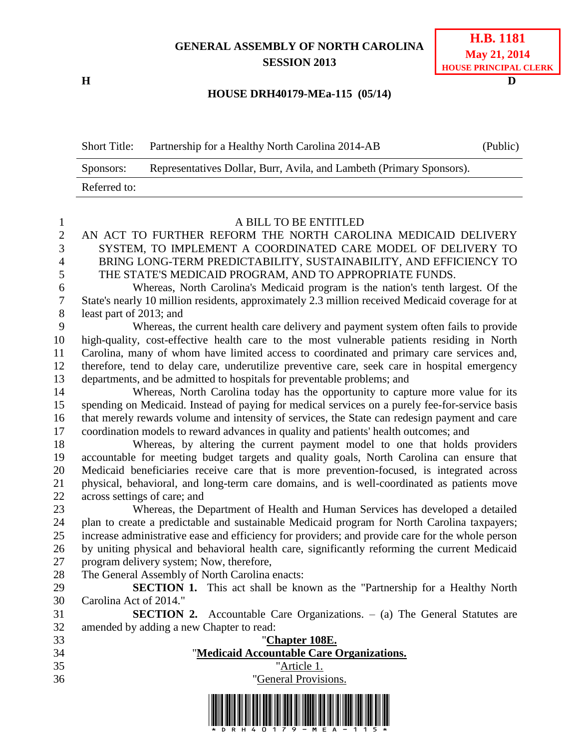## **GENERAL ASSEMBLY OF NORTH CAROLINA SESSION 2013**

**H D**

## **HOUSE DRH40179-MEa-115 (05/14)**

| <b>Short Title:</b> | Partnership for a Healthy North Carolina 2014-AB                     | (Public) |
|---------------------|----------------------------------------------------------------------|----------|
| Sponsors:           | Representatives Dollar, Burr, Avila, and Lambeth (Primary Sponsors). |          |
| Referred to:        |                                                                      |          |

| $\mathbf{1}$     | A BILL TO BE ENTITLED                                                                            |  |  |  |
|------------------|--------------------------------------------------------------------------------------------------|--|--|--|
| $\mathbf{2}$     | AN ACT TO FURTHER REFORM THE NORTH CAROLINA MEDICAID DELIVERY                                    |  |  |  |
| 3                | SYSTEM, TO IMPLEMENT A COORDINATED CARE MODEL OF DELIVERY TO                                     |  |  |  |
| $\overline{4}$   | BRING LONG-TERM PREDICTABILITY, SUSTAINABILITY, AND EFFICIENCY TO                                |  |  |  |
| 5                | THE STATE'S MEDICAID PROGRAM, AND TO APPROPRIATE FUNDS.                                          |  |  |  |
| $\boldsymbol{6}$ | Whereas, North Carolina's Medicaid program is the nation's tenth largest. Of the                 |  |  |  |
| $\tau$           | State's nearly 10 million residents, approximately 2.3 million received Medicaid coverage for at |  |  |  |
| 8                | least part of 2013; and                                                                          |  |  |  |
| 9                | Whereas, the current health care delivery and payment system often fails to provide              |  |  |  |
| 10               | high-quality, cost-effective health care to the most vulnerable patients residing in North       |  |  |  |
| 11               | Carolina, many of whom have limited access to coordinated and primary care services and,         |  |  |  |
| 12               | therefore, tend to delay care, underutilize preventive care, seek care in hospital emergency     |  |  |  |
| 13               | departments, and be admitted to hospitals for preventable problems; and                          |  |  |  |
| 14               | Whereas, North Carolina today has the opportunity to capture more value for its                  |  |  |  |
| 15               | spending on Medicaid. Instead of paying for medical services on a purely fee-for-service basis   |  |  |  |
| 16               | that merely rewards volume and intensity of services, the State can redesign payment and care    |  |  |  |
| 17               | coordination models to reward advances in quality and patients' health outcomes; and             |  |  |  |
| 18               | Whereas, by altering the current payment model to one that holds providers                       |  |  |  |
| 19               | accountable for meeting budget targets and quality goals, North Carolina can ensure that         |  |  |  |
| 20               | Medicaid beneficiaries receive care that is more prevention-focused, is integrated across        |  |  |  |
| 21               | physical, behavioral, and long-term care domains, and is well-coordinated as patients move       |  |  |  |
| 22               | across settings of care; and                                                                     |  |  |  |
| 23               | Whereas, the Department of Health and Human Services has developed a detailed                    |  |  |  |
| 24               | plan to create a predictable and sustainable Medicaid program for North Carolina taxpayers;      |  |  |  |
| 25               | increase administrative ease and efficiency for providers; and provide care for the whole person |  |  |  |
| 26               | by uniting physical and behavioral health care, significantly reforming the current Medicaid     |  |  |  |
| 27               | program delivery system; Now, therefore,                                                         |  |  |  |
| 28               | The General Assembly of North Carolina enacts:                                                   |  |  |  |
| 29               | <b>SECTION 1.</b> This act shall be known as the "Partnership for a Healthy North"               |  |  |  |
| 30               | Carolina Act of 2014."                                                                           |  |  |  |
| 31               | <b>SECTION 2.</b> Accountable Care Organizations. $-$ (a) The General Statutes are               |  |  |  |
| 32               | amended by adding a new Chapter to read:                                                         |  |  |  |
| 33               | "Chapter 108E.                                                                                   |  |  |  |
| 34               | "Medicaid Accountable Care Organizations.                                                        |  |  |  |
| 35               | "Article 1.                                                                                      |  |  |  |
| 36               | "General Provisions.                                                                             |  |  |  |
|                  |                                                                                                  |  |  |  |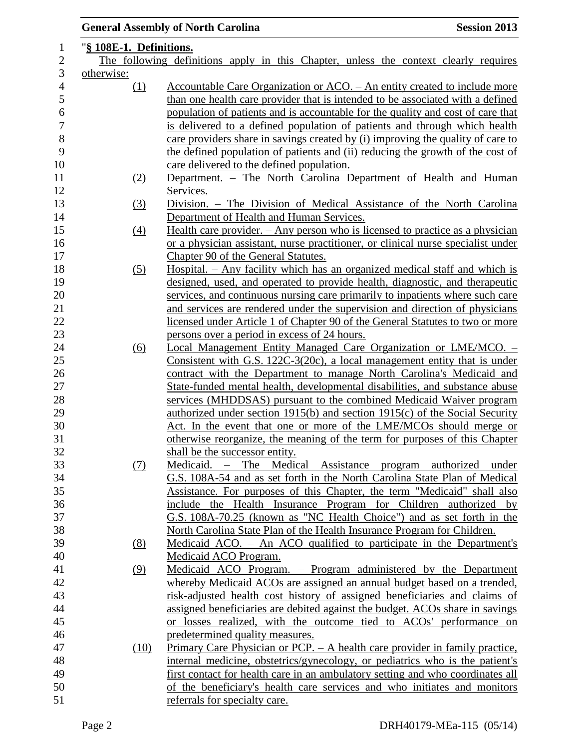|                                                                                      |            | <b>General Assembly of North Carolina</b><br><b>Session 2013</b>                  |  |  |
|--------------------------------------------------------------------------------------|------------|-----------------------------------------------------------------------------------|--|--|
| "§ 108E-1. Definitions.                                                              |            |                                                                                   |  |  |
| The following definitions apply in this Chapter, unless the context clearly requires |            |                                                                                   |  |  |
| otherwise:                                                                           |            |                                                                                   |  |  |
|                                                                                      | $\Omega$   | Accountable Care Organization or ACO. – An entity created to include more         |  |  |
|                                                                                      |            | than one health care provider that is intended to be associated with a defined    |  |  |
|                                                                                      |            | population of patients and is accountable for the quality and cost of care that   |  |  |
|                                                                                      |            | is delivered to a defined population of patients and through which health         |  |  |
|                                                                                      |            | care providers share in savings created by (i) improving the quality of care to   |  |  |
|                                                                                      |            | the defined population of patients and (ii) reducing the growth of the cost of    |  |  |
|                                                                                      |            | care delivered to the defined population.                                         |  |  |
|                                                                                      | <u>(2)</u> | Department. - The North Carolina Department of Health and Human                   |  |  |
|                                                                                      |            | Services.                                                                         |  |  |
|                                                                                      | (3)        | Division. – The Division of Medical Assistance of the North Carolina              |  |  |
|                                                                                      |            | Department of Health and Human Services.                                          |  |  |
|                                                                                      | (4)        | Health care provider. $-$ Any person who is licensed to practice as a physician   |  |  |
|                                                                                      |            | or a physician assistant, nurse practitioner, or clinical nurse specialist under  |  |  |
|                                                                                      |            | Chapter 90 of the General Statutes.                                               |  |  |
|                                                                                      | (5)        | <u>Hospital. – Any facility which has an organized medical staff and which is</u> |  |  |
|                                                                                      |            | designed, used, and operated to provide health, diagnostic, and therapeutic       |  |  |
|                                                                                      |            | services, and continuous nursing care primarily to inpatients where such care     |  |  |
|                                                                                      |            | and services are rendered under the supervision and direction of physicians       |  |  |
|                                                                                      |            | licensed under Article 1 of Chapter 90 of the General Statutes to two or more     |  |  |
|                                                                                      |            | persons over a period in excess of 24 hours.                                      |  |  |
|                                                                                      | (6)        | Local Management Entity Managed Care Organization or LME/MCO. -                   |  |  |
|                                                                                      |            | Consistent with G.S. 122C-3(20c), a local management entity that is under         |  |  |
|                                                                                      |            | contract with the Department to manage North Carolina's Medicaid and              |  |  |
|                                                                                      |            | State-funded mental health, developmental disabilities, and substance abuse       |  |  |
|                                                                                      |            | services (MHDDSAS) pursuant to the combined Medicaid Waiver program               |  |  |
|                                                                                      |            | authorized under section 1915(b) and section 1915(c) of the Social Security       |  |  |
|                                                                                      |            | Act. In the event that one or more of the LME/MCOs should merge or                |  |  |
|                                                                                      |            | otherwise reorganize, the meaning of the term for purposes of this Chapter        |  |  |
|                                                                                      |            | shall be the successor entity.                                                    |  |  |
|                                                                                      | (7)        | Medicaid. – The Medical Assistance program authorized under                       |  |  |
|                                                                                      |            | G.S. 108A-54 and as set forth in the North Carolina State Plan of Medical         |  |  |
|                                                                                      |            | Assistance. For purposes of this Chapter, the term "Medicaid" shall also          |  |  |
|                                                                                      |            | include the Health Insurance Program for Children authorized by                   |  |  |
|                                                                                      |            | G.S. 108A-70.25 (known as "NC Health Choice") and as set forth in the             |  |  |
|                                                                                      |            | North Carolina State Plan of the Health Insurance Program for Children.           |  |  |
|                                                                                      | (8)        | Medicaid ACO. – An ACO qualified to participate in the Department's               |  |  |
|                                                                                      |            | Medicaid ACO Program.                                                             |  |  |
|                                                                                      | (9)        | Medicaid ACO Program. - Program administered by the Department                    |  |  |
|                                                                                      |            | whereby Medicaid ACOs are assigned an annual budget based on a trended,           |  |  |
|                                                                                      |            | risk-adjusted health cost history of assigned beneficiaries and claims of         |  |  |
|                                                                                      |            | assigned beneficiaries are debited against the budget. ACOs share in savings      |  |  |
|                                                                                      |            | or losses realized, with the outcome tied to ACOs' performance on                 |  |  |
|                                                                                      |            | predetermined quality measures.                                                   |  |  |
|                                                                                      | (10)       | Primary Care Physician or PCP. $-$ A health care provider in family practice,     |  |  |
|                                                                                      |            | internal medicine, obstetrics/gynecology, or pediatrics who is the patient's      |  |  |
|                                                                                      |            | first contact for health care in an ambulatory setting and who coordinates all    |  |  |
|                                                                                      |            | of the beneficiary's health care services and who initiates and monitors          |  |  |
|                                                                                      |            | referrals for specialty care.                                                     |  |  |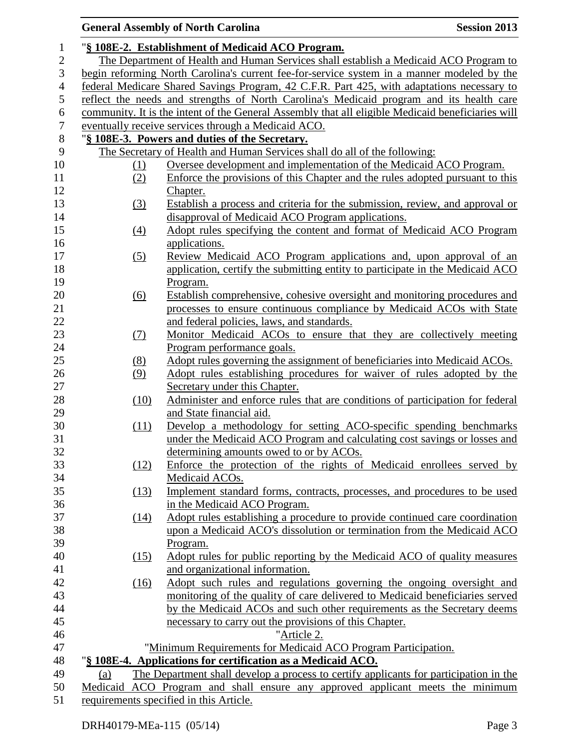|                  |                                                                                              | <b>General Assembly of North Carolina</b><br><b>Session 2013</b>                                  |  |  |  |  |
|------------------|----------------------------------------------------------------------------------------------|---------------------------------------------------------------------------------------------------|--|--|--|--|
| $\mathbf{1}$     | "§ 108E-2. Establishment of Medicaid ACO Program.                                            |                                                                                                   |  |  |  |  |
| $\overline{c}$   | The Department of Health and Human Services shall establish a Medicaid ACO Program to        |                                                                                                   |  |  |  |  |
| 3                | begin reforming North Carolina's current fee-for-service system in a manner modeled by the   |                                                                                                   |  |  |  |  |
| $\overline{4}$   |                                                                                              | federal Medicare Shared Savings Program, 42 C.F.R. Part 425, with adaptations necessary to        |  |  |  |  |
| $\mathfrak{S}$   |                                                                                              | reflect the needs and strengths of North Carolina's Medicaid program and its health care          |  |  |  |  |
| 6                |                                                                                              | community. It is the intent of the General Assembly that all eligible Medicaid beneficiaries will |  |  |  |  |
| $\boldsymbol{7}$ |                                                                                              | eventually receive services through a Medicaid ACO.                                               |  |  |  |  |
| $8\,$            |                                                                                              | "§ 108E-3. Powers and duties of the Secretary.                                                    |  |  |  |  |
| 9                |                                                                                              | The Secretary of Health and Human Services shall do all of the following:                         |  |  |  |  |
| 10               | (1)                                                                                          | Oversee development and implementation of the Medicaid ACO Program.                               |  |  |  |  |
| 11               | (2)                                                                                          | Enforce the provisions of this Chapter and the rules adopted pursuant to this                     |  |  |  |  |
| 12               |                                                                                              | Chapter.                                                                                          |  |  |  |  |
| 13               | (3)                                                                                          | Establish a process and criteria for the submission, review, and approval or                      |  |  |  |  |
| 14               |                                                                                              | disapproval of Medicaid ACO Program applications.                                                 |  |  |  |  |
| 15               | (4)                                                                                          | Adopt rules specifying the content and format of Medicaid ACO Program                             |  |  |  |  |
| 16               |                                                                                              | applications.                                                                                     |  |  |  |  |
| 17               | (5)                                                                                          | Review Medicaid ACO Program applications and, upon approval of an                                 |  |  |  |  |
| 18               |                                                                                              | application, certify the submitting entity to participate in the Medicaid ACO                     |  |  |  |  |
| 19               |                                                                                              | Program.                                                                                          |  |  |  |  |
| 20               | (6)                                                                                          | Establish comprehensive, cohesive oversight and monitoring procedures and                         |  |  |  |  |
| 21               |                                                                                              | processes to ensure continuous compliance by Medicaid ACOs with State                             |  |  |  |  |
| 22               | and federal policies, laws, and standards.                                                   |                                                                                                   |  |  |  |  |
| 23               | (7)                                                                                          | Monitor Medicaid ACOs to ensure that they are collectively meeting                                |  |  |  |  |
| $24\,$           |                                                                                              | Program performance goals.                                                                        |  |  |  |  |
| 25               | (8)                                                                                          | Adopt rules governing the assignment of beneficiaries into Medicaid ACOs.                         |  |  |  |  |
| 26               | (9)                                                                                          | Adopt rules establishing procedures for waiver of rules adopted by the                            |  |  |  |  |
| 27               |                                                                                              | Secretary under this Chapter.                                                                     |  |  |  |  |
| $28\,$           | (10)                                                                                         | Administer and enforce rules that are conditions of participation for federal                     |  |  |  |  |
| 29               |                                                                                              | and State financial aid.                                                                          |  |  |  |  |
| 30               | (11)                                                                                         | Develop a methodology for setting ACO-specific spending benchmarks                                |  |  |  |  |
| 31               | under the Medicaid ACO Program and calculating cost savings or losses and                    |                                                                                                   |  |  |  |  |
| 32               |                                                                                              | determining amounts owed to or by ACOs.                                                           |  |  |  |  |
| 33               | (12)                                                                                         | Enforce the protection of the rights of Medicaid enrollees served by                              |  |  |  |  |
| 34               |                                                                                              | Medicaid ACOs.                                                                                    |  |  |  |  |
| 35               | (13)                                                                                         | Implement standard forms, contracts, processes, and procedures to be used                         |  |  |  |  |
| 36               |                                                                                              | in the Medicaid ACO Program.                                                                      |  |  |  |  |
| 37               | (14)                                                                                         | Adopt rules establishing a procedure to provide continued care coordination                       |  |  |  |  |
| 38               |                                                                                              | upon a Medicaid ACO's dissolution or termination from the Medicaid ACO                            |  |  |  |  |
| 39               |                                                                                              | Program.                                                                                          |  |  |  |  |
| 40               | (15)                                                                                         | Adopt rules for public reporting by the Medicaid ACO of quality measures                          |  |  |  |  |
| 41               |                                                                                              | and organizational information.                                                                   |  |  |  |  |
| 42               | (16)                                                                                         | Adopt such rules and regulations governing the ongoing oversight and                              |  |  |  |  |
| 43               |                                                                                              | monitoring of the quality of care delivered to Medicaid beneficiaries served                      |  |  |  |  |
| 44               | by the Medicaid ACOs and such other requirements as the Secretary deems                      |                                                                                                   |  |  |  |  |
| 45               | necessary to carry out the provisions of this Chapter.                                       |                                                                                                   |  |  |  |  |
| 46               | "Article 2.                                                                                  |                                                                                                   |  |  |  |  |
| 47               |                                                                                              | "Minimum Requirements for Medicaid ACO Program Participation.                                     |  |  |  |  |
| 48               | "§ 108E-4. Applications for certification as a Medicaid ACO.                                 |                                                                                                   |  |  |  |  |
| 49               | The Department shall develop a process to certify applicants for participation in the<br>(a) |                                                                                                   |  |  |  |  |
| 50               | Medicaid ACO Program and shall ensure any approved applicant meets the minimum               |                                                                                                   |  |  |  |  |
| 51               | requirements specified in this Article.                                                      |                                                                                                   |  |  |  |  |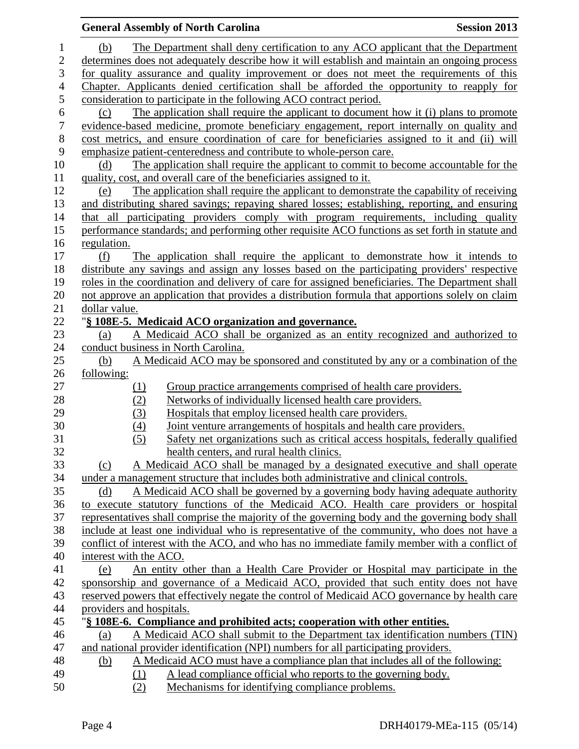|                  |                                                                                         |            | <b>General Assembly of North Carolina</b>                                                                                                                             | <b>Session 2013</b> |  |
|------------------|-----------------------------------------------------------------------------------------|------------|-----------------------------------------------------------------------------------------------------------------------------------------------------------------------|---------------------|--|
| 1                | (b)                                                                                     |            | The Department shall deny certification to any ACO applicant that the Department                                                                                      |                     |  |
| $\overline{c}$   |                                                                                         |            | determines does not adequately describe how it will establish and maintain an ongoing process                                                                         |                     |  |
| 3                | for quality assurance and quality improvement or does not meet the requirements of this |            |                                                                                                                                                                       |                     |  |
| $\overline{4}$   |                                                                                         |            | Chapter. Applicants denied certification shall be afforded the opportunity to reapply for                                                                             |                     |  |
| 5                |                                                                                         |            | consideration to participate in the following ACO contract period.                                                                                                    |                     |  |
| $\sqrt{6}$       | (c)                                                                                     |            | The application shall require the applicant to document how it (i) plans to promote                                                                                   |                     |  |
| $\boldsymbol{7}$ |                                                                                         |            | evidence-based medicine, promote beneficiary engagement, report internally on quality and                                                                             |                     |  |
| $8\,$            |                                                                                         |            | cost metrics, and ensure coordination of care for beneficiaries assigned to it and (ii) will                                                                          |                     |  |
| 9                |                                                                                         |            | emphasize patient-centeredness and contribute to whole-person care.                                                                                                   |                     |  |
| 10               | (d)                                                                                     |            | The application shall require the applicant to commit to become accountable for the                                                                                   |                     |  |
| 11               |                                                                                         |            | quality, cost, and overall care of the beneficiaries assigned to it.                                                                                                  |                     |  |
| 12               | (e)                                                                                     |            | The application shall require the applicant to demonstrate the capability of receiving                                                                                |                     |  |
| 13               |                                                                                         |            | and distributing shared savings; repaying shared losses; establishing, reporting, and ensuring                                                                        |                     |  |
| 14               |                                                                                         |            | that all participating providers comply with program requirements, including quality                                                                                  |                     |  |
| 15               |                                                                                         |            | performance standards; and performing other requisite ACO functions as set forth in statute and                                                                       |                     |  |
| 16               | regulation.                                                                             |            |                                                                                                                                                                       |                     |  |
| 17               | (f)                                                                                     |            | The application shall require the applicant to demonstrate how it intends to                                                                                          |                     |  |
| 18               |                                                                                         |            | distribute any savings and assign any losses based on the participating providers' respective                                                                         |                     |  |
| 19               |                                                                                         |            | roles in the coordination and delivery of care for assigned beneficiaries. The Department shall                                                                       |                     |  |
| 20               |                                                                                         |            | not approve an application that provides a distribution formula that apportions solely on claim                                                                       |                     |  |
| 21               | dollar value.                                                                           |            |                                                                                                                                                                       |                     |  |
| 22               |                                                                                         |            | "§ 108E-5. Medicaid ACO organization and governance.                                                                                                                  |                     |  |
| 23               | (a)                                                                                     |            | A Medicaid ACO shall be organized as an entity recognized and authorized to                                                                                           |                     |  |
| 24               |                                                                                         |            | conduct business in North Carolina.                                                                                                                                   |                     |  |
| 25<br>26         | (b)<br><u>following:</u>                                                                |            | A Medicaid ACO may be sponsored and constituted by any or a combination of the                                                                                        |                     |  |
| 27               |                                                                                         | <u>(1)</u> | Group practice arrangements comprised of health care providers.                                                                                                       |                     |  |
| 28               |                                                                                         | (2)        | Networks of individually licensed health care providers.                                                                                                              |                     |  |
| 29               |                                                                                         | (3)        | Hospitals that employ licensed health care providers.                                                                                                                 |                     |  |
| 30               |                                                                                         | (4)        | Joint venture arrangements of hospitals and health care providers.                                                                                                    |                     |  |
| 31               |                                                                                         | (5)        | Safety net organizations such as critical access hospitals, federally qualified                                                                                       |                     |  |
| 32               |                                                                                         |            | health centers, and rural health clinics.                                                                                                                             |                     |  |
| 33               | (c)                                                                                     |            | A Medicaid ACO shall be managed by a designated executive and shall operate                                                                                           |                     |  |
| 34               |                                                                                         |            | under a management structure that includes both administrative and clinical controls.                                                                                 |                     |  |
| 35               | (d)                                                                                     |            | A Medicaid ACO shall be governed by a governing body having adequate authority                                                                                        |                     |  |
| 36               |                                                                                         |            | to execute statutory functions of the Medicaid ACO. Health care providers or hospital                                                                                 |                     |  |
| 37               |                                                                                         |            | representatives shall comprise the majority of the governing body and the governing body shall                                                                        |                     |  |
| 38               |                                                                                         |            | include at least one individual who is representative of the community, who does not have a                                                                           |                     |  |
| 39               |                                                                                         |            | conflict of interest with the ACO, and who has no immediate family member with a conflict of                                                                          |                     |  |
| 40               | interest with the ACO.                                                                  |            |                                                                                                                                                                       |                     |  |
| 41               | (e)                                                                                     |            | An entity other than a Health Care Provider or Hospital may participate in the                                                                                        |                     |  |
| 42               |                                                                                         |            | sponsorship and governance of a Medicaid ACO, provided that such entity does not have                                                                                 |                     |  |
| 43               |                                                                                         |            | reserved powers that effectively negate the control of Medicaid ACO governance by health care                                                                         |                     |  |
| 44               | providers and hospitals.                                                                |            |                                                                                                                                                                       |                     |  |
| 45               |                                                                                         |            | "§ 108E-6. Compliance and prohibited acts; cooperation with other entities.                                                                                           |                     |  |
| 46<br>47         | (a)                                                                                     |            | A Medicaid ACO shall submit to the Department tax identification numbers (TIN)<br>and national provider identification (NPI) numbers for all participating providers. |                     |  |
| 48               | <u>(b)</u>                                                                              |            | A Medicaid ACO must have a compliance plan that includes all of the following:                                                                                        |                     |  |
| 49               |                                                                                         | (1)        | A lead compliance official who reports to the governing body.                                                                                                         |                     |  |
| 50               |                                                                                         | (2)        | Mechanisms for identifying compliance problems.                                                                                                                       |                     |  |
|                  |                                                                                         |            |                                                                                                                                                                       |                     |  |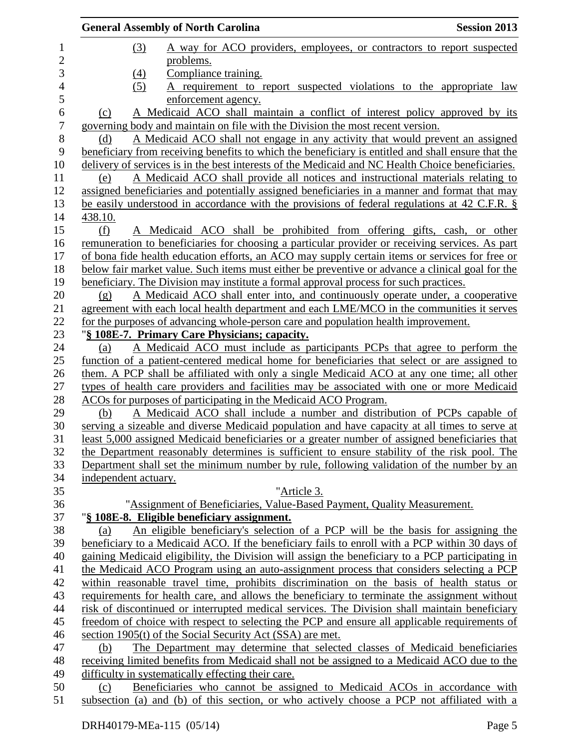|                | <b>General Assembly of North Carolina</b>                                                                                                                                                 | <b>Session 2013</b> |
|----------------|-------------------------------------------------------------------------------------------------------------------------------------------------------------------------------------------|---------------------|
| $\mathbf 1$    | (3)<br>A way for ACO providers, employees, or contractors to report suspected                                                                                                             |                     |
| $\overline{c}$ | problems.                                                                                                                                                                                 |                     |
| 3              | Compliance training.<br>(4)                                                                                                                                                               |                     |
| $\overline{4}$ | (5)<br>A requirement to report suspected violations to the appropriate law                                                                                                                |                     |
| 5              | enforcement agency.                                                                                                                                                                       |                     |
| 6              | A Medicaid ACO shall maintain a conflict of interest policy approved by its<br>(c)                                                                                                        |                     |
| 7              | governing body and maintain on file with the Division the most recent version.                                                                                                            |                     |
| 8              | A Medicaid ACO shall not engage in any activity that would prevent an assigned<br>(d)                                                                                                     |                     |
| 9              | beneficiary from receiving benefits to which the beneficiary is entitled and shall ensure that the                                                                                        |                     |
| 10             | delivery of services is in the best interests of the Medicaid and NC Health Choice beneficiaries.                                                                                         |                     |
| 11             | A Medicaid ACO shall provide all notices and instructional materials relating to<br>(e)                                                                                                   |                     |
| 12             | assigned beneficiaries and potentially assigned beneficiaries in a manner and format that may                                                                                             |                     |
| 13             | be easily understood in accordance with the provisions of federal regulations at 42 C.F.R. §                                                                                              |                     |
| 14             | 438.10.                                                                                                                                                                                   |                     |
| 15             | (f)<br>A Medicaid ACO shall be prohibited from offering gifts, cash, or other                                                                                                             |                     |
| 16             | remuneration to beneficiaries for choosing a particular provider or receiving services. As part                                                                                           |                     |
| 17             | of bona fide health education efforts, an ACO may supply certain items or services for free or                                                                                            |                     |
| 18             | below fair market value. Such items must either be preventive or advance a clinical goal for the                                                                                          |                     |
| 19             | beneficiary. The Division may institute a formal approval process for such practices.                                                                                                     |                     |
| 20             | A Medicaid ACO shall enter into, and continuously operate under, a cooperative<br>(g)                                                                                                     |                     |
| 21             | agreement with each local health department and each LME/MCO in the communities it serves                                                                                                 |                     |
| 22             | for the purposes of advancing whole-person care and population health improvement.                                                                                                        |                     |
| 23             | "§ 108E-7. Primary Care Physicians; capacity.                                                                                                                                             |                     |
| 24             | A Medicaid ACO must include as participants PCPs that agree to perform the<br>(a)                                                                                                         |                     |
| 25             | function of a patient-centered medical home for beneficiaries that select or are assigned to                                                                                              |                     |
| 26             | them. A PCP shall be affiliated with only a single Medicaid ACO at any one time; all other                                                                                                |                     |
| 27             | types of health care providers and facilities may be associated with one or more Medicaid                                                                                                 |                     |
| 28             | ACOs for purposes of participating in the Medicaid ACO Program.                                                                                                                           |                     |
| 29             | A Medicaid ACO shall include a number and distribution of PCPs capable of<br>(b)                                                                                                          |                     |
| 30             | serving a sizeable and diverse Medicaid population and have capacity at all times to serve at                                                                                             |                     |
| 31             | least 5,000 assigned Medicaid beneficiaries or a greater number of assigned beneficiaries that                                                                                            |                     |
| 32             | the Department reasonably determines is sufficient to ensure stability of the risk pool. The                                                                                              |                     |
| 33             | Department shall set the minimum number by rule, following validation of the number by an                                                                                                 |                     |
| 34             | independent actuary.                                                                                                                                                                      |                     |
| 35             | "Article 3.                                                                                                                                                                               |                     |
| 36             | "Assignment of Beneficiaries, Value-Based Payment, Quality Measurement.                                                                                                                   |                     |
| 37             | "§ 108E-8. Eligible beneficiary assignment.                                                                                                                                               |                     |
| 38             | An eligible beneficiary's selection of a PCP will be the basis for assigning the<br>(a)<br>beneficiary to a Medicaid ACO. If the beneficiary fails to enroll with a PCP within 30 days of |                     |
| 39<br>40       | gaining Medicaid eligibility, the Division will assign the beneficiary to a PCP participating in                                                                                          |                     |
| 41             |                                                                                                                                                                                           |                     |
| 42             | the Medicaid ACO Program using an auto-assignment process that considers selecting a PCP<br>within reasonable travel time, prohibits discrimination on the basis of health status or      |                     |
| 43             | requirements for health care, and allows the beneficiary to terminate the assignment without                                                                                              |                     |
| 44             | risk of discontinued or interrupted medical services. The Division shall maintain beneficiary                                                                                             |                     |
| 45             | freedom of choice with respect to selecting the PCP and ensure all applicable requirements of                                                                                             |                     |
| 46             | section 1905(t) of the Social Security Act (SSA) are met.                                                                                                                                 |                     |
| 47             | The Department may determine that selected classes of Medicaid beneficiaries<br>(b)                                                                                                       |                     |
| 48             | receiving limited benefits from Medicaid shall not be assigned to a Medicaid ACO due to the                                                                                               |                     |
| 49             | difficulty in systematically effecting their care.                                                                                                                                        |                     |
| 50             | Beneficiaries who cannot be assigned to Medicaid ACOs in accordance with<br>(c)                                                                                                           |                     |
| 51             | subsection (a) and (b) of this section, or who actively choose a PCP not affiliated with a                                                                                                |                     |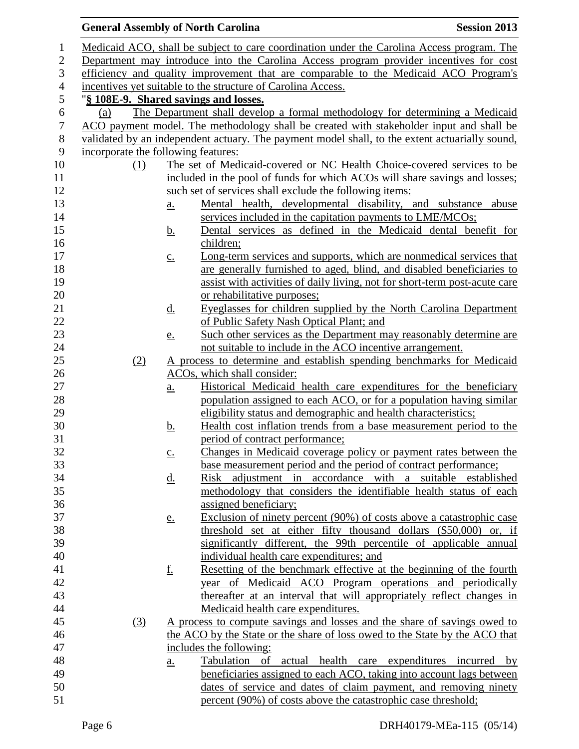|                  | <b>General Assembly of North Carolina</b>                                            |                   |                                                                                                     | <b>Session 2013</b> |  |
|------------------|--------------------------------------------------------------------------------------|-------------------|-----------------------------------------------------------------------------------------------------|---------------------|--|
| $\mathbf{1}$     |                                                                                      |                   | Medicaid ACO, shall be subject to care coordination under the Carolina Access program. The          |                     |  |
| $\mathbf{2}$     |                                                                                      |                   | Department may introduce into the Carolina Access program provider incentives for cost              |                     |  |
| 3                | efficiency and quality improvement that are comparable to the Medicaid ACO Program's |                   |                                                                                                     |                     |  |
| $\overline{4}$   |                                                                                      |                   | incentives yet suitable to the structure of Carolina Access.                                        |                     |  |
| 5                | "§ 108E-9. Shared savings and losses.                                                |                   |                                                                                                     |                     |  |
| $\boldsymbol{6}$ | (a)                                                                                  |                   | The Department shall develop a formal methodology for determining a Medicaid                        |                     |  |
| $\boldsymbol{7}$ |                                                                                      |                   | ACO payment model. The methodology shall be created with stakeholder input and shall be             |                     |  |
| $8\,$            |                                                                                      |                   | validated by an independent actuary. The payment model shall, to the extent actuarially sound,      |                     |  |
| 9                | incorporate the following features:                                                  |                   |                                                                                                     |                     |  |
| 10               | (1)                                                                                  |                   | The set of Medicaid-covered or NC Health Choice-covered services to be                              |                     |  |
| 11               |                                                                                      |                   | included in the pool of funds for which ACOs will share savings and losses;                         |                     |  |
| 12               |                                                                                      |                   | such set of services shall exclude the following items:                                             |                     |  |
| 13               |                                                                                      | <u>a.</u>         | Mental health, developmental disability, and substance abuse                                        |                     |  |
| 14               |                                                                                      |                   | services included in the capitation payments to LME/MCOs;                                           |                     |  |
| 15               |                                                                                      | <u>b.</u>         | Dental services as defined in the Medicaid dental benefit for                                       |                     |  |
| 16               |                                                                                      |                   | children;                                                                                           |                     |  |
| 17               |                                                                                      | $\underline{c}$ . | Long-term services and supports, which are nonmedical services that                                 |                     |  |
| 18               |                                                                                      |                   | are generally furnished to aged, blind, and disabled beneficiaries to                               |                     |  |
| 19               |                                                                                      |                   | assist with activities of daily living, not for short-term post-acute care                          |                     |  |
| 20               |                                                                                      |                   | or rehabilitative purposes;                                                                         |                     |  |
| 21               |                                                                                      | <u>d.</u>         | Eyeglasses for children supplied by the North Carolina Department                                   |                     |  |
| 22               |                                                                                      |                   | of Public Safety Nash Optical Plant; and                                                            |                     |  |
| 23               |                                                                                      | <u>e.</u>         | Such other services as the Department may reasonably determine are                                  |                     |  |
| 24               |                                                                                      |                   | not suitable to include in the ACO incentive arrangement.                                           |                     |  |
| 25               | (2)                                                                                  |                   | A process to determine and establish spending benchmarks for Medicaid                               |                     |  |
| 26               |                                                                                      |                   | ACOs, which shall consider:                                                                         |                     |  |
| 27               |                                                                                      | $\underline{a}$ . | Historical Medicaid health care expenditures for the beneficiary                                    |                     |  |
| 28               |                                                                                      |                   | population assigned to each ACO, or for a population having similar                                 |                     |  |
| 29               |                                                                                      |                   | eligibility status and demographic and health characteristics;                                      |                     |  |
| 30<br>31         |                                                                                      | <u>b.</u>         | Health cost inflation trends from a base measurement period to the                                  |                     |  |
| 32               |                                                                                      |                   | period of contract performance;<br>Changes in Medicaid coverage policy or payment rates between the |                     |  |
| 33               |                                                                                      | $\underline{C}$ . | base measurement period and the period of contract performance;                                     |                     |  |
| 34               |                                                                                      |                   | Risk adjustment in accordance with a suitable established                                           |                     |  |
| 35               |                                                                                      | <u>d.</u>         | methodology that considers the identifiable health status of each                                   |                     |  |
| 36               |                                                                                      |                   | assigned beneficiary;                                                                               |                     |  |
| 37               |                                                                                      | <u>e.</u>         | Exclusion of ninety percent (90%) of costs above a catastrophic case                                |                     |  |
| 38               |                                                                                      |                   | threshold set at either fifty thousand dollars (\$50,000) or, if                                    |                     |  |
| 39               |                                                                                      |                   | significantly different, the 99th percentile of applicable annual                                   |                     |  |
| 40               |                                                                                      |                   | individual health care expenditures; and                                                            |                     |  |
| 41               |                                                                                      | <u>f.</u>         | Resetting of the benchmark effective at the beginning of the fourth                                 |                     |  |
| 42               |                                                                                      |                   | year of Medicaid ACO Program operations and periodically                                            |                     |  |
| 43               |                                                                                      |                   | thereafter at an interval that will appropriately reflect changes in                                |                     |  |
| 44               |                                                                                      |                   | Medicaid health care expenditures.                                                                  |                     |  |
| 45               | (3)                                                                                  |                   | A process to compute savings and losses and the share of savings owed to                            |                     |  |
| 46               |                                                                                      |                   | the ACO by the State or the share of loss owed to the State by the ACO that                         |                     |  |
| 47               |                                                                                      |                   | includes the following:                                                                             |                     |  |
| 48               |                                                                                      | a.                | Tabulation of actual health care expenditures incurred by                                           |                     |  |
| 49               |                                                                                      |                   | beneficiaries assigned to each ACO, taking into account lags between                                |                     |  |
| 50               |                                                                                      |                   | dates of service and dates of claim payment, and removing ninety                                    |                     |  |
| 51               |                                                                                      |                   | percent (90%) of costs above the catastrophic case threshold;                                       |                     |  |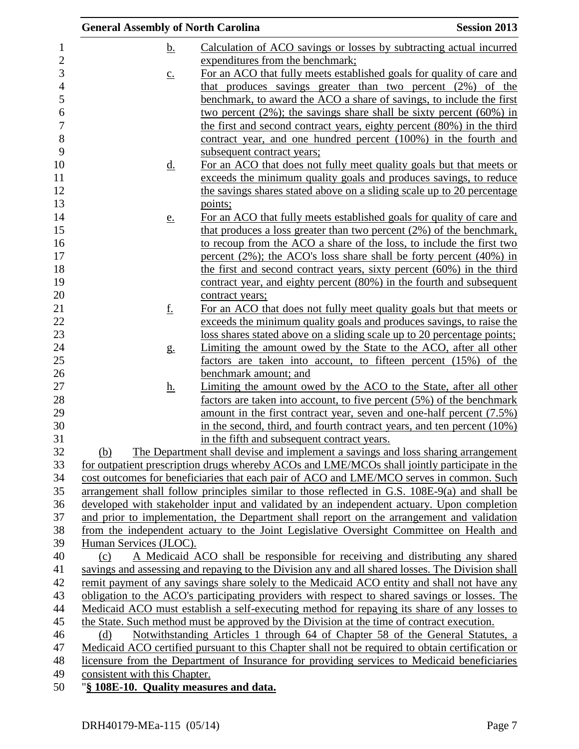|                                                                                                                                                                                           | <b>General Assembly of North Carolina</b> |                                             | <b>Session 2013</b>                                                                                                                         |
|-------------------------------------------------------------------------------------------------------------------------------------------------------------------------------------------|-------------------------------------------|---------------------------------------------|---------------------------------------------------------------------------------------------------------------------------------------------|
|                                                                                                                                                                                           | <u>b.</u>                                 |                                             | Calculation of ACO savings or losses by subtracting actual incurred                                                                         |
|                                                                                                                                                                                           |                                           | expenditures from the benchmark;            |                                                                                                                                             |
|                                                                                                                                                                                           | $\underline{c}$ .                         |                                             | For an ACO that fully meets established goals for quality of care and                                                                       |
|                                                                                                                                                                                           |                                           |                                             | that produces savings greater than two percent (2%) of the                                                                                  |
|                                                                                                                                                                                           |                                           |                                             | benchmark, to award the ACO a share of savings, to include the first                                                                        |
|                                                                                                                                                                                           |                                           |                                             | two percent $(2\%)$ ; the savings share shall be sixty percent $(60\%)$ in                                                                  |
|                                                                                                                                                                                           |                                           |                                             | the first and second contract years, eighty percent (80%) in the third                                                                      |
|                                                                                                                                                                                           |                                           |                                             | contract year, and one hundred percent (100%) in the fourth and                                                                             |
|                                                                                                                                                                                           |                                           | subsequent contract years;                  |                                                                                                                                             |
|                                                                                                                                                                                           | <u>d.</u>                                 |                                             | For an ACO that does not fully meet quality goals but that meets or                                                                         |
|                                                                                                                                                                                           |                                           |                                             | exceeds the minimum quality goals and produces savings, to reduce                                                                           |
|                                                                                                                                                                                           |                                           |                                             | the savings shares stated above on a sliding scale up to 20 percentage                                                                      |
|                                                                                                                                                                                           |                                           | points;                                     |                                                                                                                                             |
|                                                                                                                                                                                           | <u>e.</u>                                 |                                             | For an ACO that fully meets established goals for quality of care and                                                                       |
|                                                                                                                                                                                           |                                           |                                             | that produces a loss greater than two percent $(2%)$ of the benchmark,                                                                      |
|                                                                                                                                                                                           |                                           |                                             | to recoup from the ACO a share of the loss, to include the first two                                                                        |
|                                                                                                                                                                                           |                                           |                                             | percent $(2\%)$ ; the ACO's loss share shall be forty percent $(40\%)$ in                                                                   |
|                                                                                                                                                                                           |                                           |                                             | the first and second contract years, sixty percent $(60\%)$ in the third                                                                    |
|                                                                                                                                                                                           |                                           |                                             | contract year, and eighty percent (80%) in the fourth and subsequent                                                                        |
|                                                                                                                                                                                           |                                           | contract years;                             |                                                                                                                                             |
|                                                                                                                                                                                           | <u>f.</u>                                 |                                             | For an ACO that does not fully meet quality goals but that meets or<br>exceeds the minimum quality goals and produces savings, to raise the |
|                                                                                                                                                                                           |                                           |                                             | loss shares stated above on a sliding scale up to 20 percentage points;                                                                     |
|                                                                                                                                                                                           |                                           |                                             |                                                                                                                                             |
|                                                                                                                                                                                           | g.                                        |                                             | Limiting the amount owed by the State to the ACO, after all other<br>factors are taken into account, to fifteen percent (15%) of the        |
|                                                                                                                                                                                           |                                           | benchmark amount; and                       |                                                                                                                                             |
|                                                                                                                                                                                           | <u>h.</u>                                 |                                             | Limiting the amount owed by the ACO to the State, after all other                                                                           |
|                                                                                                                                                                                           |                                           |                                             | factors are taken into account, to five percent $(5\%)$ of the benchmark                                                                    |
|                                                                                                                                                                                           |                                           |                                             | amount in the first contract year, seven and one-half percent (7.5%)                                                                        |
|                                                                                                                                                                                           |                                           |                                             | in the second, third, and fourth contract years, and ten percent $(10\%)$                                                                   |
|                                                                                                                                                                                           |                                           | in the fifth and subsequent contract years. |                                                                                                                                             |
|                                                                                                                                                                                           | (b)                                       |                                             | The Department shall devise and implement a savings and loss sharing arrangement                                                            |
|                                                                                                                                                                                           |                                           |                                             | for outpatient prescription drugs whereby ACOs and LME/MCOs shall jointly participate in the                                                |
|                                                                                                                                                                                           |                                           |                                             | cost outcomes for beneficiaries that each pair of ACO and LME/MCO serves in common. Such                                                    |
|                                                                                                                                                                                           |                                           |                                             | arrangement shall follow principles similar to those reflected in G.S. $108E-9(a)$ and shall be                                             |
| developed with stakeholder input and validated by an independent actuary. Upon completion                                                                                                 |                                           |                                             |                                                                                                                                             |
|                                                                                                                                                                                           |                                           |                                             | and prior to implementation, the Department shall report on the arrangement and validation                                                  |
|                                                                                                                                                                                           |                                           |                                             | from the independent actuary to the Joint Legislative Oversight Committee on Health and                                                     |
|                                                                                                                                                                                           | Human Services (JLOC).                    |                                             |                                                                                                                                             |
|                                                                                                                                                                                           | (c)                                       |                                             | A Medicaid ACO shall be responsible for receiving and distributing any shared                                                               |
|                                                                                                                                                                                           |                                           |                                             | savings and assessing and repaying to the Division any and all shared losses. The Division shall                                            |
|                                                                                                                                                                                           |                                           |                                             | remit payment of any savings share solely to the Medicaid ACO entity and shall not have any                                                 |
|                                                                                                                                                                                           |                                           |                                             | obligation to the ACO's participating providers with respect to shared savings or losses. The                                               |
| Medicaid ACO must establish a self-executing method for repaying its share of any losses to                                                                                               |                                           |                                             |                                                                                                                                             |
| the State. Such method must be approved by the Division at the time of contract execution.                                                                                                |                                           |                                             |                                                                                                                                             |
| Notwithstanding Articles 1 through 64 of Chapter 58 of the General Statutes, a<br>(d)<br>Medicaid ACO certified pursuant to this Chapter shall not be required to obtain certification or |                                           |                                             |                                                                                                                                             |
|                                                                                                                                                                                           |                                           |                                             |                                                                                                                                             |
|                                                                                                                                                                                           |                                           |                                             | licensure from the Department of Insurance for providing services to Medicaid beneficiaries                                                 |
|                                                                                                                                                                                           | consistent with this Chapter.             |                                             |                                                                                                                                             |
|                                                                                                                                                                                           | "§ 108E-10. Quality measures and data.    |                                             |                                                                                                                                             |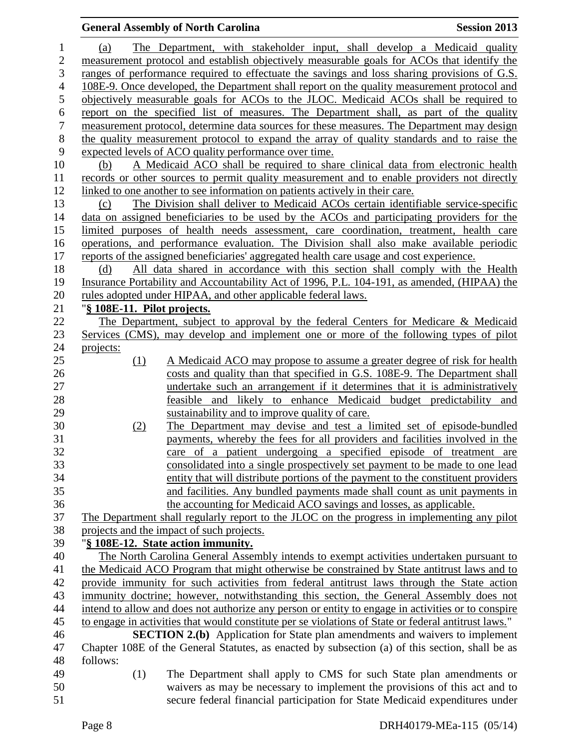## **General Assembly of North Carolina Session 2013**  (a) The Department, with stakeholder input, shall develop a Medicaid quality measurement protocol and establish objectively measurable goals for ACOs that identify the ranges of performance required to effectuate the savings and loss sharing provisions of G.S. 108E-9. Once developed, the Department shall report on the quality measurement protocol and objectively measurable goals for ACOs to the JLOC. Medicaid ACOs shall be required to 6 report on the specified list of measures. The Department shall, as part of the quality<br>
T measurement protocol, determine data sources for these measures. The Department may design measurement protocol, determine data sources for these measures. The Department may design the quality measurement protocol to expand the array of quality standards and to raise the expected levels of ACO quality performance over time. (b) A Medicaid ACO shall be required to share clinical data from electronic health records or other sources to permit quality measurement and to enable providers not directly linked to one another to see information on patients actively in their care. (c) The Division shall deliver to Medicaid ACOs certain identifiable service-specific data on assigned beneficiaries to be used by the ACOs and participating providers for the limited purposes of health needs assessment, care coordination, treatment, health care operations, and performance evaluation. The Division shall also make available periodic reports of the assigned beneficiaries' aggregated health care usage and cost experience. (d) All data shared in accordance with this section shall comply with the Health Insurance Portability and Accountability Act of 1996, P.L. 104-191, as amended, (HIPAA) the rules adopted under HIPAA, and other applicable federal laws. "**§ 108E-11. Pilot projects.** The Department, subject to approval by the federal Centers for Medicare & Medicaid Services (CMS), may develop and implement one or more of the following types of pilot projects: (1) A Medicaid ACO may propose to assume a greater degree of risk for health costs and quality than that specified in G.S. 108E-9. The Department shall undertake such an arrangement if it determines that it is administratively feasible and likely to enhance Medicaid budget predictability and sustainability and to improve quality of care. (2) The Department may devise and test a limited set of episode-bundled payments, whereby the fees for all providers and facilities involved in the care of a patient undergoing a specified episode of treatment are consolidated into a single prospectively set payment to be made to one lead entity that will distribute portions of the payment to the constituent providers and facilities. Any bundled payments made shall count as unit payments in the accounting for Medicaid ACO savings and losses, as applicable. The Department shall regularly report to the JLOC on the progress in implementing any pilot projects and the impact of such projects. "**§ 108E-12. State action immunity.** The North Carolina General Assembly intends to exempt activities undertaken pursuant to the Medicaid ACO Program that might otherwise be constrained by State antitrust laws and to provide immunity for such activities from federal antitrust laws through the State action immunity doctrine; however, notwithstanding this section, the General Assembly does not intend to allow and does not authorize any person or entity to engage in activities or to conspire to engage in activities that would constitute per se violations of State or federal antitrust laws." **SECTION 2.(b)** Application for State plan amendments and waivers to implement Chapter 108E of the General Statutes, as enacted by subsection (a) of this section, shall be as follows: (1) The Department shall apply to CMS for such State plan amendments or waivers as may be necessary to implement the provisions of this act and to secure federal financial participation for State Medicaid expenditures under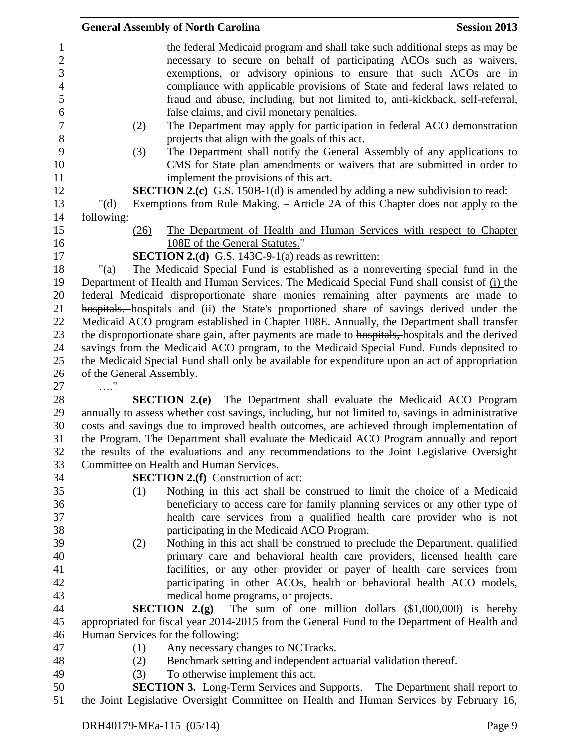|                                                                                           |                          |      | <b>General Assembly of North Carolina</b>                                           | <b>Session 2013</b>                                                                               |
|-------------------------------------------------------------------------------------------|--------------------------|------|-------------------------------------------------------------------------------------|---------------------------------------------------------------------------------------------------|
|                                                                                           |                          |      |                                                                                     | the federal Medicaid program and shall take such additional steps as may be                       |
|                                                                                           |                          |      |                                                                                     | necessary to secure on behalf of participating ACOs such as waivers,                              |
|                                                                                           |                          |      |                                                                                     | exemptions, or advisory opinions to ensure that such ACOs are in                                  |
|                                                                                           |                          |      |                                                                                     | compliance with applicable provisions of State and federal laws related to                        |
|                                                                                           |                          |      |                                                                                     | fraud and abuse, including, but not limited to, anti-kickback, self-referral,                     |
|                                                                                           |                          |      | false claims, and civil monetary penalties.                                         |                                                                                                   |
|                                                                                           |                          | (2)  |                                                                                     | The Department may apply for participation in federal ACO demonstration                           |
|                                                                                           |                          |      | projects that align with the goals of this act.                                     |                                                                                                   |
|                                                                                           |                          | (3)  |                                                                                     | The Department shall notify the General Assembly of any applications to                           |
|                                                                                           |                          |      |                                                                                     | CMS for State plan amendments or waivers that are submitted in order to                           |
|                                                                                           |                          |      | implement the provisions of this act.                                               |                                                                                                   |
|                                                                                           |                          |      | <b>SECTION 2.(c)</b> G.S. 150B-1(d) is amended by adding a new subdivision to read: |                                                                                                   |
|                                                                                           | " $(d)$                  |      |                                                                                     | Exemptions from Rule Making. – Article 2A of this Chapter does not apply to the                   |
|                                                                                           | following:               |      |                                                                                     |                                                                                                   |
|                                                                                           |                          | (26) |                                                                                     | The Department of Health and Human Services with respect to Chapter                               |
|                                                                                           |                          |      | 108E of the General Statutes."                                                      |                                                                                                   |
|                                                                                           |                          |      | <b>SECTION 2.(d)</b> G.S. 143C-9-1(a) reads as rewritten:                           |                                                                                                   |
|                                                                                           | " $(a)$                  |      |                                                                                     | The Medicaid Special Fund is established as a nonreverting special fund in the                    |
|                                                                                           |                          |      |                                                                                     | Department of Health and Human Services. The Medicaid Special Fund shall consist of (i) the       |
|                                                                                           |                          |      |                                                                                     | federal Medicaid disproportionate share monies remaining after payments are made to               |
|                                                                                           |                          |      |                                                                                     | hospitals. hospitals and (ii) the State's proportioned share of savings derived under the         |
|                                                                                           |                          |      |                                                                                     | Medicaid ACO program established in Chapter 108E. Annually, the Department shall transfer         |
|                                                                                           |                          |      |                                                                                     | the disproportionate share gain, after payments are made to hospitals, hospitals and the derived  |
|                                                                                           |                          |      |                                                                                     | savings from the Medicaid ACO program, to the Medicaid Special Fund. Funds deposited to           |
|                                                                                           |                          |      |                                                                                     | the Medicaid Special Fund shall only be available for expenditure upon an act of appropriation    |
|                                                                                           | of the General Assembly. |      |                                                                                     |                                                                                                   |
|                                                                                           |                          |      |                                                                                     |                                                                                                   |
|                                                                                           |                          |      |                                                                                     | <b>SECTION 2.(e)</b> The Department shall evaluate the Medicaid ACO Program                       |
|                                                                                           |                          |      |                                                                                     | annually to assess whether cost savings, including, but not limited to, savings in administrative |
| costs and savings due to improved health outcomes, are achieved through implementation of |                          |      |                                                                                     |                                                                                                   |
| the Program. The Department shall evaluate the Medicaid ACO Program annually and report   |                          |      |                                                                                     |                                                                                                   |
| the results of the evaluations and any recommendations to the Joint Legislative Oversight |                          |      |                                                                                     |                                                                                                   |
| Committee on Health and Human Services.                                                   |                          |      |                                                                                     |                                                                                                   |
|                                                                                           |                          |      | <b>SECTION 2.(f)</b> Construction of act:                                           |                                                                                                   |
|                                                                                           |                          | (1)  |                                                                                     | Nothing in this act shall be construed to limit the choice of a Medicaid                          |
|                                                                                           |                          |      |                                                                                     | beneficiary to access care for family planning services or any other type of                      |
|                                                                                           |                          |      |                                                                                     | health care services from a qualified health care provider who is not                             |
|                                                                                           |                          |      | participating in the Medicaid ACO Program.                                          |                                                                                                   |
|                                                                                           |                          | (2)  |                                                                                     | Nothing in this act shall be construed to preclude the Department, qualified                      |
|                                                                                           |                          |      |                                                                                     | primary care and behavioral health care providers, licensed health care                           |
|                                                                                           |                          |      |                                                                                     | facilities, or any other provider or payer of health care services from                           |
|                                                                                           |                          |      |                                                                                     | participating in other ACOs, health or behavioral health ACO models,                              |
|                                                                                           |                          |      | medical home programs, or projects.                                                 |                                                                                                   |
|                                                                                           |                          |      | SECTION $2.(g)$                                                                     | The sum of one million dollars $(\$1,000,000)$ is hereby                                          |
|                                                                                           |                          |      |                                                                                     | appropriated for fiscal year 2014-2015 from the General Fund to the Department of Health and      |
|                                                                                           |                          |      | Human Services for the following:                                                   |                                                                                                   |
|                                                                                           |                          | (1)  | Any necessary changes to NCTracks.                                                  |                                                                                                   |
|                                                                                           |                          | (2)  | Benchmark setting and independent actuarial validation thereof.                     |                                                                                                   |
|                                                                                           |                          | (3)  | To otherwise implement this act.                                                    |                                                                                                   |
|                                                                                           |                          |      |                                                                                     | <b>SECTION 3.</b> Long-Term Services and Supports. - The Department shall report to               |
|                                                                                           |                          |      |                                                                                     | the Joint Legislative Oversight Committee on Health and Human Services by February 16,            |